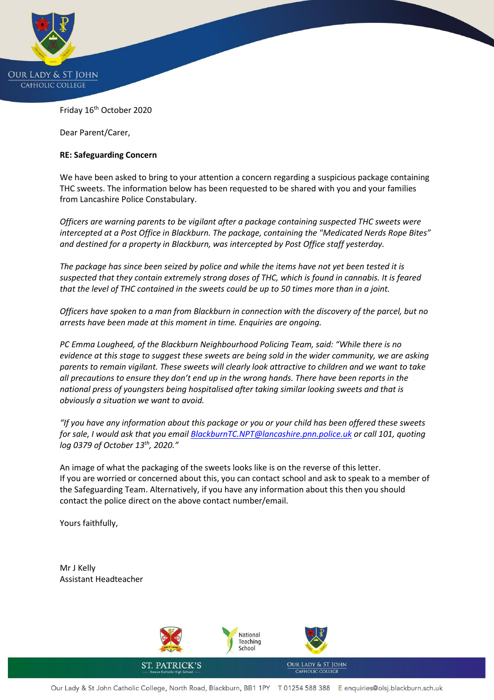

Friday 16<sup>th</sup> October 2020

Dear Parent/Carer,

## **RE: Safeguarding Concern**

We have been asked to bring to your attention a concern regarding a suspicious package containing THC sweets. The information below has been requested to be shared with you and your families from Lancashire Police Constabulary.

*Officers are warning parents to be vigilant after a package containing suspected THC sweets were intercepted at a Post Office in Blackburn. The package, containing the "Medicated Nerds Rope Bites" and destined for a property in Blackburn, was intercepted by Post Office staff yesterday.*

*The package has since been seized by police and while the items have not yet been tested it is suspected that they contain extremely strong doses of THC, which is found in cannabis. It is feared that the level of THC contained in the sweets could be up to 50 times more than in a joint.*

*Officers have spoken to a man from Blackburn in connection with the discovery of the parcel, but no arrests have been made at this moment in time. Enquiries are ongoing.*

*PC Emma Lougheed, of the Blackburn Neighbourhood Policing Team, said: "While there is no evidence at this stage to suggest these sweets are being sold in the wider community, we are asking parents to remain vigilant. These sweets will clearly look attractive to children and we want to take all precautions to ensure they don't end up in the wrong hands. There have been reports in the national press of youngsters being hospitalised after taking similar looking sweets and that is obviously a situation we want to avoid.*

*"If you have any information about this package or you or your child has been offered these sweets for sale, I would ask that you emai[l BlackburnTC.NPT@lancashire.pnn.police.uk](mailto:BlackburnTC.NPT@lancashire.pnn.police.uk) or call 101, quoting log 0379 of October 13th, 2020."*

An image of what the packaging of the sweets looks like is on the reverse of this letter. If you are worried or concerned about this, you can contact school and ask to speak to a member of the Safeguarding Team. Alternatively, if you have any information about this then you should contact the police direct on the above contact number/email.

Yours faithfully,

Mr J Kelly Assistant Headteacher